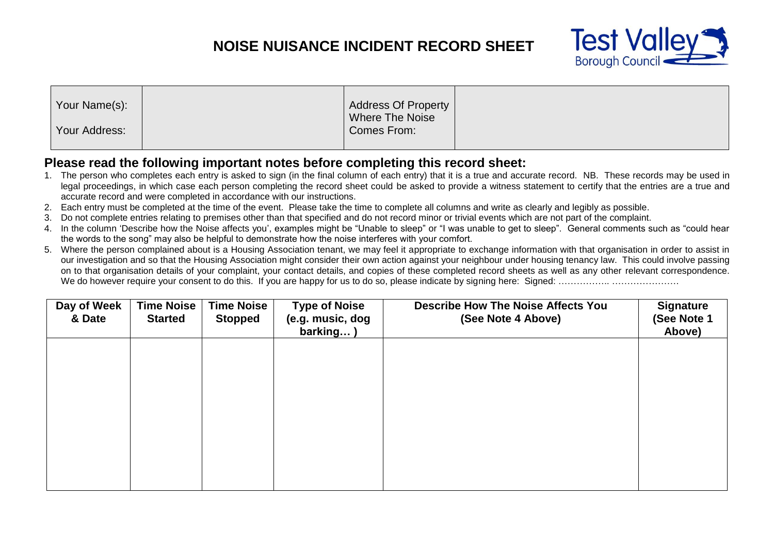## **NOISE NUISANCE INCIDENT RECORD SHEET**



| <b>Address Of Property</b> |
|----------------------------|
|----------------------------|

## **Please read the following important notes before completing this record sheet:**

- 1. The person who completes each entry is asked to sign (in the final column of each entry) that it is a true and accurate record. NB. These records may be used in legal proceedings, in which case each person completing the record sheet could be asked to provide a witness statement to certify that the entries are a true and accurate record and were completed in accordance with our instructions.
- 2. Each entry must be completed at the time of the event. Please take the time to complete all columns and write as clearly and legibly as possible.
- 3. Do not complete entries relating to premises other than that specified and do not record minor or trivial events which are not part of the complaint.
- 4. In the column 'Describe how the Noise affects you', examples might be "Unable to sleep" or "I was unable to get to sleep". General comments such as "could hear the words to the song" may also be helpful to demonstrate how the noise interferes with your comfort.
- 5. Where the person complained about is a Housing Association tenant, we may feel it appropriate to exchange information with that organisation in order to assist in our investigation and so that the Housing Association might consider their own action against your neighbour under housing tenancy law. This could involve passing on to that organisation details of your complaint, your contact details, and copies of these completed record sheets as well as any other relevant correspondence. We do however require your consent to do this. If you are happy for us to do so, please indicate by signing here: Signed: …………………………………

| Day of Week<br>& Date | <b>Time Noise</b><br><b>Started</b> | <b>Time Noise</b><br><b>Stopped</b> | <b>Type of Noise</b><br>(e.g. music, dog<br>barking) | <b>Describe How The Noise Affects You</b><br>(See Note 4 Above) | <b>Signature</b><br>(See Note 1<br>Above) |
|-----------------------|-------------------------------------|-------------------------------------|------------------------------------------------------|-----------------------------------------------------------------|-------------------------------------------|
|                       |                                     |                                     |                                                      |                                                                 |                                           |
|                       |                                     |                                     |                                                      |                                                                 |                                           |
|                       |                                     |                                     |                                                      |                                                                 |                                           |
|                       |                                     |                                     |                                                      |                                                                 |                                           |